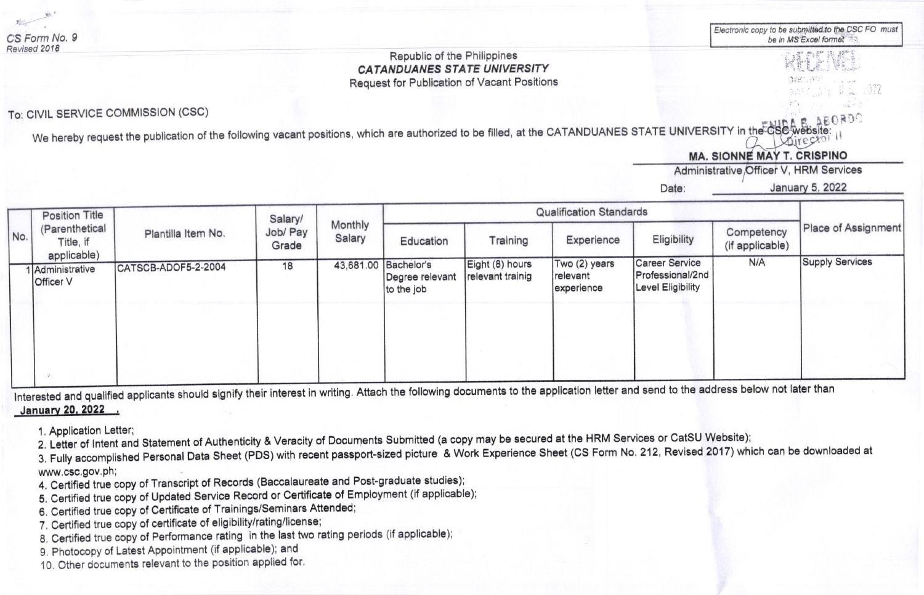Electronic copy to be submitted to the CSC FO must be in MS Excel format

## Republic of the Philippines **CATANDUANES STATE UNIVERSITY Request for Publication of Vacant Positions**

## To: CIVIL SERVICE COMMISSION (CSC)

We hereby request the publication of the following vacant positions, which are authorized to be filled, at the CATANDUANES STATE UNIVERSITY in the CS

**MA. SIONNE MAY T. CRISPINO** 

Administrative Officer V. HRM Services

Date:

January 5, 2022

| No. | <b>Position Title</b><br>(Parenthetical<br>Title, if<br>applicable) | Plantilla Item No.  | Salary/<br>Job/ Pay<br>Grade | Monthly<br>Salary | <b>Qualification Standards</b>                        |                                     |                                         |                                                                |                               |                        |
|-----|---------------------------------------------------------------------|---------------------|------------------------------|-------------------|-------------------------------------------------------|-------------------------------------|-----------------------------------------|----------------------------------------------------------------|-------------------------------|------------------------|
|     |                                                                     |                     |                              |                   | Education                                             | Training                            | Experience                              | Eligibility                                                    | Competency<br>(if applicable) | Place of Assignment    |
|     | Administrative<br><b>Officer V</b>                                  | CATSCB-ADOF5-2-2004 | 18                           |                   | 43,681.00 Bachelor's<br>Degree relevant<br>to the job | Eight (8) hours<br>relevant trainig | Two (2) years<br>relevant<br>experience | <b>Career Service</b><br>Professional/2nd<br>Level Eligibility | N/A                           | <b>Supply Services</b> |
|     |                                                                     |                     |                              |                   |                                                       |                                     |                                         |                                                                |                               |                        |
|     |                                                                     |                     |                              |                   |                                                       |                                     |                                         |                                                                |                               |                        |

Interested and qualified applicants should signify their interest in writing. Attach the following documents to the application letter and send to the address below not later than January 20, 2022 .

1. Application Letter;

2. Letter of Intent and Statement of Authenticity & Veracity of Documents Submitted (a copy may be secured at the HRM Services or CatSU Website);

3. Fully accomplished Personal Data Sheet (PDS) with recent passport-sized picture & Work Experience Sheet (CS Form No. 212, Revised 2017) which can be downloaded at www.csc.gov.ph;

- 4. Certified true copy of Transcript of Records (Baccalaureate and Post-graduate studies);
- 5. Certified true copy of Updated Service Record or Certificate of Employment (if applicable);
- 6. Certified true copy of Certificate of Trainings/Seminars Attended;
- 7. Certified true copy of certificate of eligibility/rating/license;
- 8. Certified true copy of Performance rating in the last two rating periods (if applicable);
- 9. Photocopy of Latest Appointment (if applicable); and
- 10. Other documents relevant to the position applied for.